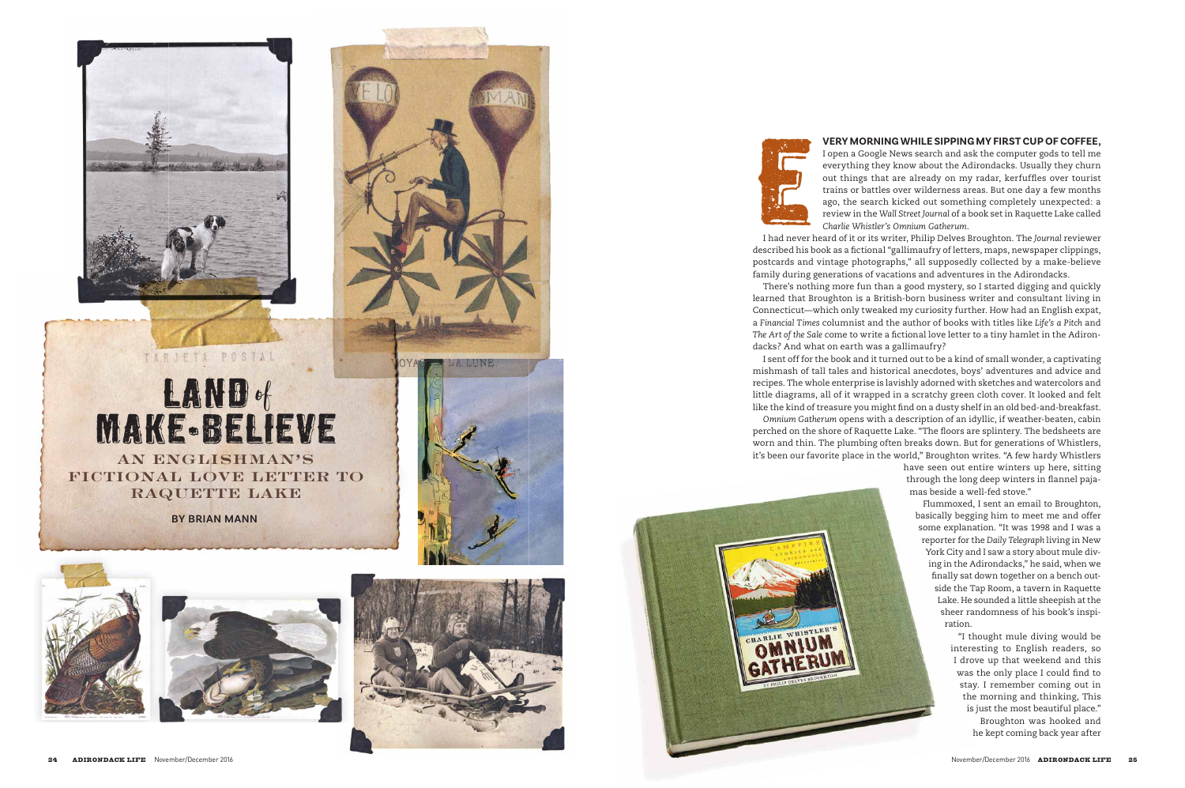

## **RAND of<br>RANE - BELIE<br>NE - BELIE<br>NENGLISHMAN**<br>DNAL LOVE LETT<br>RAQUETTE LAKE MAKE-BELIEVE

**AN ENGLISHMAN'S FICTIONAL LOVE LETTER TO** 

**BY BRIAN MANN**









I open a Google News search and ask the computer gods to tell me everything they know about the Adirondacks. Usually they churn out things that are already on my radar, kerfuffles over tourist trains or battles over wilderness areas. But one day a few months ago, the search kicked out something completely unexpected: a review in the *Wall Street Journal* of a book set in Raquette Lake called *Charlie Whistler's Omnium Gatherum*.

I had never heard of it or its writer, Philip Delves Broughton. The *Journal* reviewer described his book as a fictional "gallimaufry of letters, maps, newspaper clippings, postcards and vintage photographs," all supposedly collected by a make-believe family during generations of vacations and adventures in the Adirondacks.

There's nothing more fun than a good mystery, so I started digging and quickly learned that Broughton is a British-born business writer and consultant living in Connecticut—which only tweaked my curiosity further. How had an English expat, a *Financial Times* columnist and the author of books with titles like *Life's a Pitch* and *The Art of the Sale* come to write a fictional love letter to a tiny hamlet in the Adiron dacks? And what on earth was a gallimaufry?

mishmash of tall tales and historical anecdotes, boys' adventures and advice and recipes. The whole enterprise is lavishly adorned with sketches and watercolors and little diagrams, all of it wrapped in a scratchy green cloth cover. It looked and felt like the kind of treasure you might find on a dusty shelf in an old bed-and-breakfast. perched on the shore of Raquette Lake. "The floors are splintery. The bedsheets are worn and thin. The plumbing often breaks down. But for generations of Whistlers, it's been our favorite place in the world," Broughton writes. "A few hardy Whistlers

I sent off for the book and it turned out to be a kind of small wonder, a captivating *Omnium Gatherum* opens with a description of an idyllic, if weather-beaten, cabin have seen out entire winters up here, sitting through the long deep winters in flannel paja mas beside a well-fed stove."

> Flummoxed, I sent an email to Broughton, basically begging him to meet me and offer some explanation. "It was 1998 and I was a reporter for the *Daily Telegraph* living in New York City and I saw a story about mule div ing in the Adirondacks," he said, when we finally sat down together on a bench out side the Tap Room, a tavern in Raquette Lake. He sounded a little sheepish at the sheer randomness of his book's inspi ration.

> > "I thought mule diving would be interesting to English readers, so I drove up that weekend and this was the only place I could find to stay. I remember coming out in the morning and thinking, This is just the most beautiful place." Broughton was hooked and he kept coming back year after